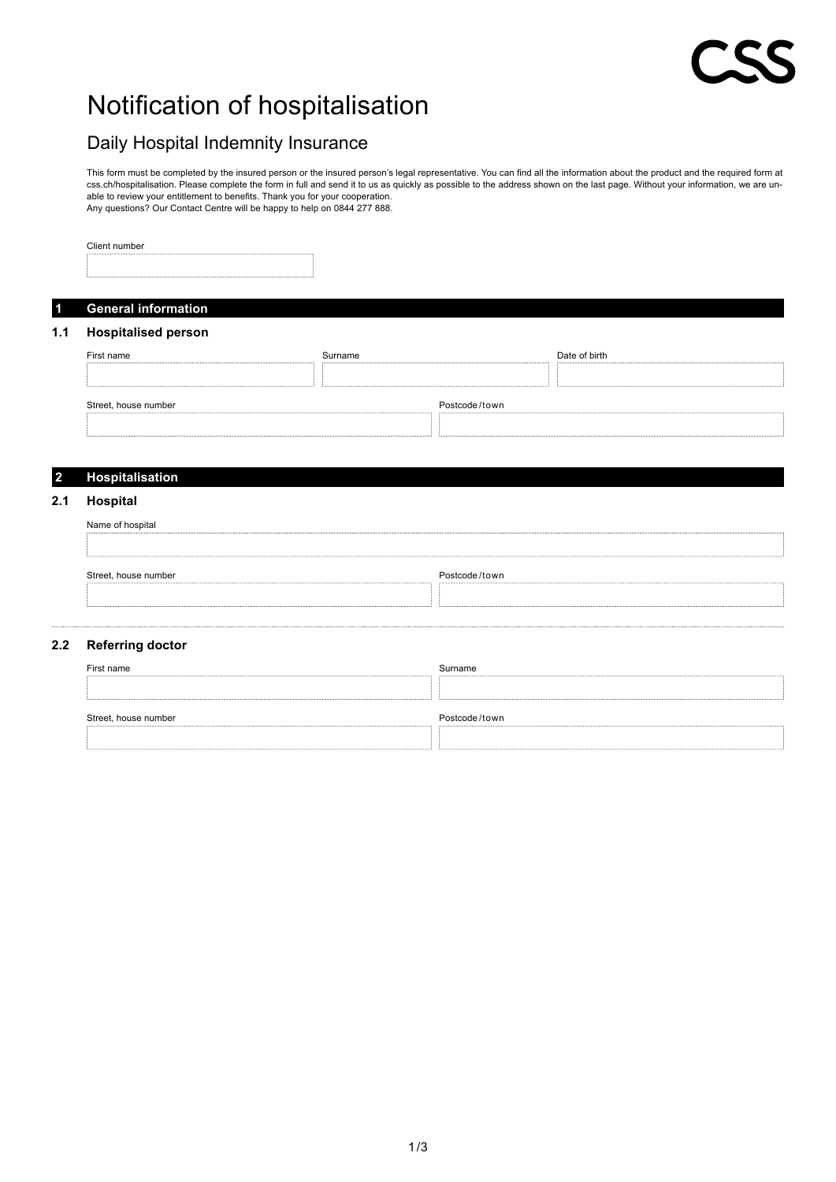# Notification of hospitalisation

# Daily Hospital Indemnity Insurance

This form must be completed by the insured person or the insured person's legal representative. You can find all the information about the product and the required form at css.ch/hospitalisation. Please complete the form in full and send it to us as quickly as possible to the address shown on the last page. Without your information, we are unable to review your entitlement to benefits. Thank you for your cooperation. Any questions? Our Contact Centre will be happy to help on 0844 277 888.

Client number

## **1 General information**

### **1.1 Hospitalised person**

| First name           | Surname       | Date of birth |
|----------------------|---------------|---------------|
|                      |               |               |
| Street, house number | Postcode/town |               |
|                      |               |               |

#### **2 Hospitalisation**

#### **2.1 Hospital**

| Name of hospital     |               |
|----------------------|---------------|
| Street, house number | Postcode/town |
|                      |               |

#### **2.2 Referring doctor**

| First name           | Surname       |
|----------------------|---------------|
|                      |               |
|                      |               |
| Street, house number | Postcode/town |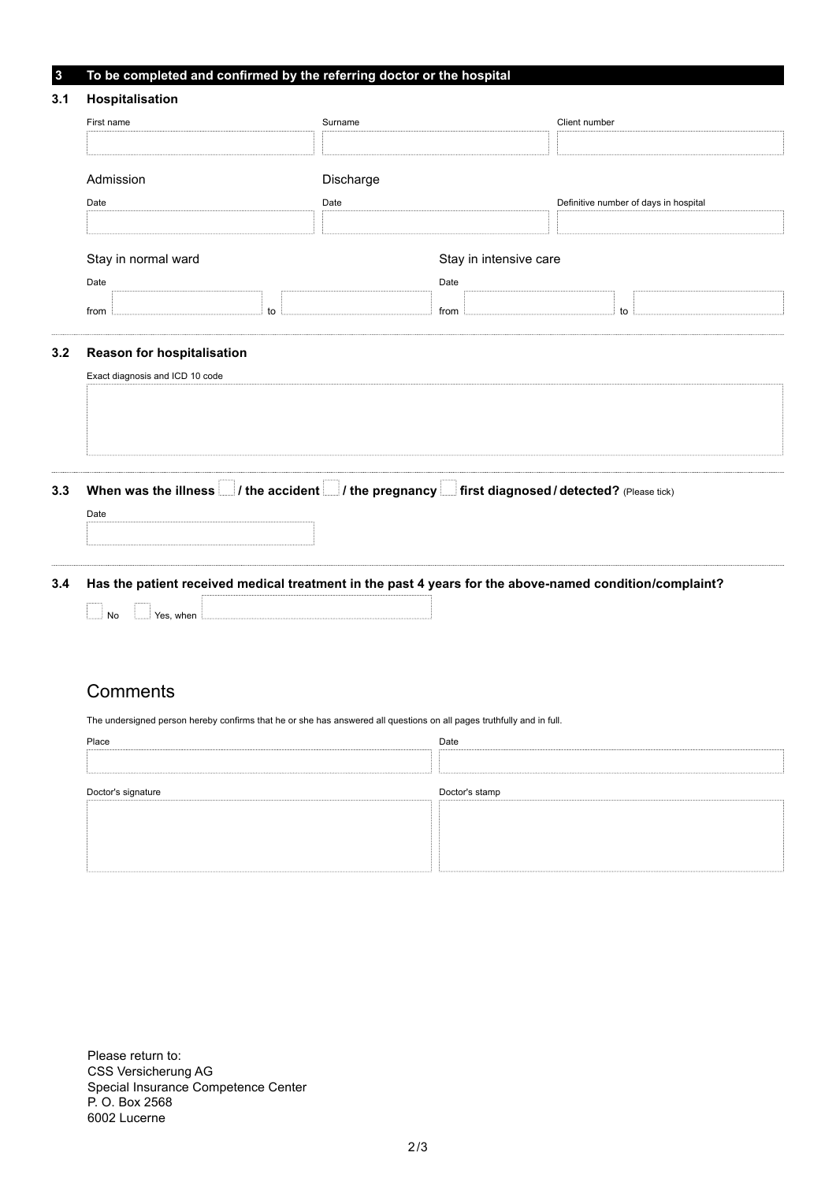### **3 To be completed and confirmed by the referring doctor or the hospital**

| 3.1 | Hospitalisation                                                      |    |                        |              |  |                                       |
|-----|----------------------------------------------------------------------|----|------------------------|--------------|--|---------------------------------------|
|     | First name                                                           |    | Surname                |              |  | Client number                         |
|     |                                                                      |    |                        |              |  |                                       |
|     | Admission                                                            |    | Discharge              |              |  |                                       |
|     | Date                                                                 |    | Date                   |              |  | Definitive number of days in hospital |
|     |                                                                      |    |                        |              |  |                                       |
|     | Stay in normal ward                                                  |    | Stay in intensive care |              |  |                                       |
|     | Date<br>from                                                         | to |                        | Date<br>from |  | to                                    |
| 3.2 | <b>Reason for hospitalisation</b><br>Exact diagnosis and ICD 10 code |    |                        |              |  |                                       |
|     |                                                                      |    |                        |              |  |                                       |

3.3 When was the illness  $\Box$  / the accident  $\Box$  / the pregnancy  $\Box$  first diagnosed / detected? (Please tick)

**3.4 Has the patient received medical treatment in the past 4 years for the above-named condition/complaint?**

| -------------<br><b>Massachusetts</b><br>---------- | -------------<br><b>MARKETS</b> |  |
|-----------------------------------------------------|---------------------------------|--|
|-----------------------------------------------------|---------------------------------|--|

## **Comments**

Date

 $\mathbf{r}$ 

The undersigned person hereby confirms that he or she has answered all questions on all pages truthfully and in full.

| Place              | Date           |
|--------------------|----------------|
|                    |                |
| Doctor's signature | Doctor's stamp |
|                    |                |
|                    |                |
|                    |                |

Please return to: CSS Versicherung AG Special Insurance Competence Center P. O. Box 2568 6002 Lucerne